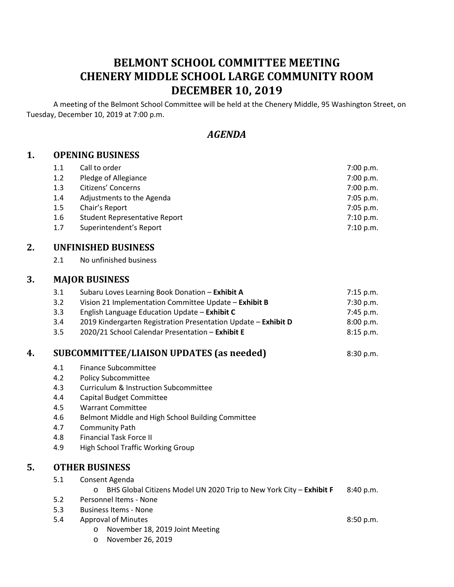# **BELMONT SCHOOL COMMITTEE MEETING CHENERY MIDDLE SCHOOL LARGE COMMUNITY ROOM DECEMBER 10, 2019**

A meeting of the Belmont School Committee will be held at the Chenery Middle, 95 Washington Street, on Tuesday, December 10, 2019 at 7:00 p.m.

# *AGENDA*

### **1. OPENING BUSINESS**

| 1.1 | Call to order                        | 7:00 p.m.   |
|-----|--------------------------------------|-------------|
| 1.2 | Pledge of Allegiance                 | 7:00 p.m.   |
| 1.3 | Citizens' Concerns                   | 7:00 p.m.   |
| 1.4 | Adjustments to the Agenda            | 7:05 p.m.   |
| 1.5 | Chair's Report                       | $7:05$ p.m. |
| 1.6 | <b>Student Representative Report</b> | 7:10 p.m.   |
| 1.7 | Superintendent's Report              | 7:10 p.m.   |

### **2. UNFINISHED BUSINESS**

2.1 No unfinished business

#### **3. MAJOR BUSINESS**

|    | 3.1 | Subaru Loves Learning Book Donation - Exhibit A                | 7:15 p.m. |
|----|-----|----------------------------------------------------------------|-----------|
|    | 3.2 | Vision 21 Implementation Committee Update - Exhibit B          | 7:30 p.m. |
|    | 3.3 | English Language Education Update - Exhibit C                  | 7:45 p.m. |
|    | 3.4 | 2019 Kindergarten Registration Presentation Update - Exhibit D | 8:00 p.m. |
|    | 3.5 | 2020/21 School Calendar Presentation - Exhibit E               | 8:15 p.m. |
| 4. |     | <b>SUBCOMMITTEE/LIAISON UPDATES (as needed)</b>                | 8:30 p.m. |
|    | 4.1 | Finance Subcommittee                                           |           |
|    | 4.2 | <b>Policy Subcommittee</b>                                     |           |
|    | 4.3 | Curriculum & Instruction Subcommittee                          |           |
|    | 4.4 | Capital Budget Committee                                       |           |
|    | 4.5 | <b>Warrant Committee</b>                                       |           |
|    | 4.6 | Belmont Middle and High School Building Committee              |           |
|    | 4.7 | Community Path                                                 |           |
|    | 4.8 | <b>Financial Task Force II</b>                                 |           |
|    | 4.9 | High School Traffic Working Group                              |           |
| 5. |     | <b>OTHER BUSINESS</b>                                          |           |

|     | 5.1 Consent Agenda                                                              |  |  |  |
|-----|---------------------------------------------------------------------------------|--|--|--|
|     | o BHS Global Citizens Model UN 2020 Trip to New York City - Exhibit F 8:40 p.m. |  |  |  |
| 5.2 | Personnel Items - None                                                          |  |  |  |
| 5.3 | Business Items - None                                                           |  |  |  |

- 5.4 Approval of Minutes 8:50 p.m.
	- o November 18, 2019 Joint Meeting
	- o November 26, 2019